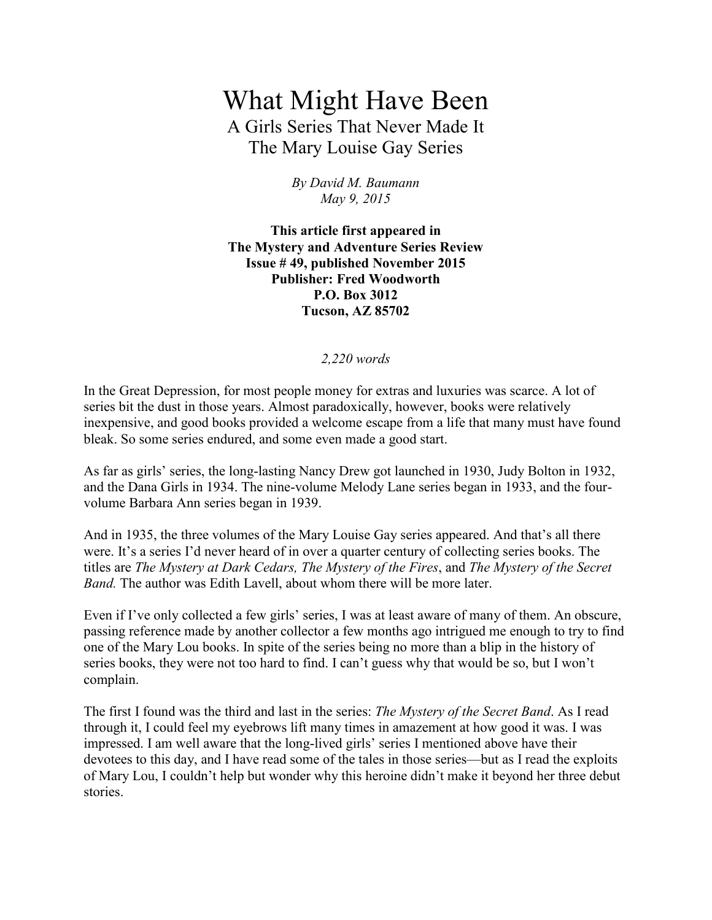## What Might Have Been A Girls Series That Never Made It The Mary Louise Gay Series

*By David M. Baumann May 9, 2015*

**This article first appeared in The Mystery and Adventure Series Review Issue # 49, published November 2015 Publisher: Fred Woodworth P.O. Box 3012 Tucson, AZ 85702**

## *2,220 words*

In the Great Depression, for most people money for extras and luxuries was scarce. A lot of series bit the dust in those years. Almost paradoxically, however, books were relatively inexpensive, and good books provided a welcome escape from a life that many must have found bleak. So some series endured, and some even made a good start.

As far as girls' series, the long-lasting Nancy Drew got launched in 1930, Judy Bolton in 1932, and the Dana Girls in 1934. The nine-volume Melody Lane series began in 1933, and the fourvolume Barbara Ann series began in 1939.

And in 1935, the three volumes of the Mary Louise Gay series appeared. And that's all there were. It's a series I'd never heard of in over a quarter century of collecting series books. The titles are *The Mystery at Dark Cedars, The Mystery of the Fires*, and *The Mystery of the Secret Band.* The author was Edith Lavell, about whom there will be more later.

Even if I've only collected a few girls' series, I was at least aware of many of them. An obscure, passing reference made by another collector a few months ago intrigued me enough to try to find one of the Mary Lou books. In spite of the series being no more than a blip in the history of series books, they were not too hard to find. I can't guess why that would be so, but I won't complain.

The first I found was the third and last in the series: *The Mystery of the Secret Band*. As I read through it, I could feel my eyebrows lift many times in amazement at how good it was. I was impressed. I am well aware that the long-lived girls' series I mentioned above have their devotees to this day, and I have read some of the tales in those series—but as I read the exploits of Mary Lou, I couldn't help but wonder why this heroine didn't make it beyond her three debut stories.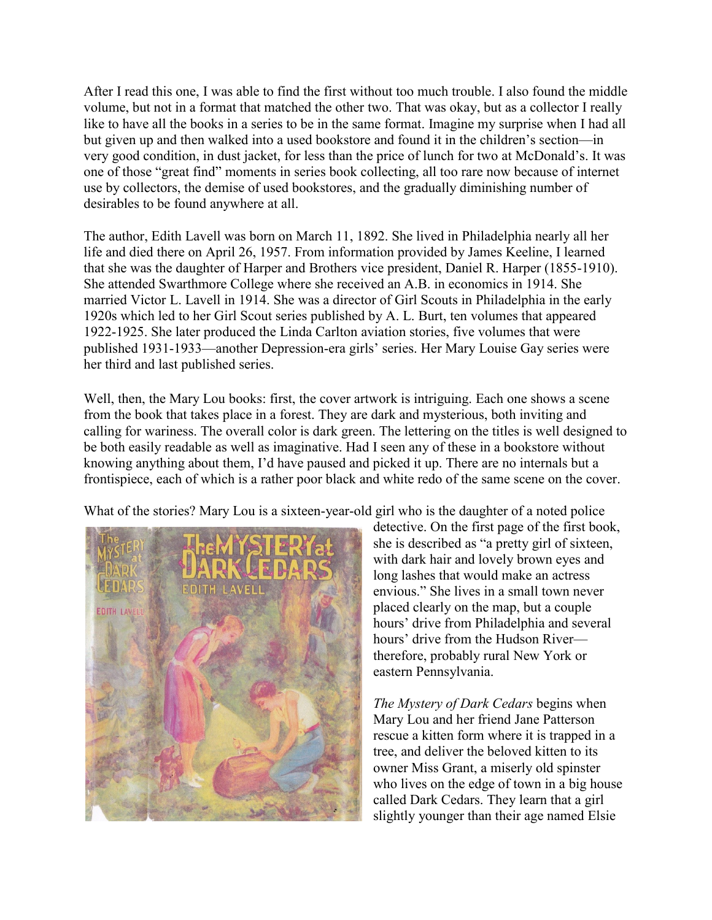After I read this one, I was able to find the first without too much trouble. I also found the middle volume, but not in a format that matched the other two. That was okay, but as a collector I really like to have all the books in a series to be in the same format. Imagine my surprise when I had all but given up and then walked into a used bookstore and found it in the children's section—in very good condition, in dust jacket, for less than the price of lunch for two at McDonald's. It was one of those "great find" moments in series book collecting, all too rare now because of internet use by collectors, the demise of used bookstores, and the gradually diminishing number of desirables to be found anywhere at all.

The author, Edith Lavell was born on March 11, 1892. She lived in Philadelphia nearly all her life and died there on April 26, 1957. From information provided by James Keeline, I learned that she was the daughter of Harper and Brothers vice president, Daniel R. Harper (1855-1910). She attended Swarthmore College where she received an A.B. in economics in 1914. She married Victor L. Lavell in 1914. She was a director of Girl Scouts in Philadelphia in the early 1920s which led to her Girl Scout series published by A. L. Burt, ten volumes that appeared 1922-1925. She later produced the Linda Carlton aviation stories, five volumes that were published 1931-1933—another Depression-era girls' series. Her Mary Louise Gay series were her third and last published series.

Well, then, the Mary Lou books: first, the cover artwork is intriguing. Each one shows a scene from the book that takes place in a forest. They are dark and mysterious, both inviting and calling for wariness. The overall color is dark green. The lettering on the titles is well designed to be both easily readable as well as imaginative. Had I seen any of these in a bookstore without knowing anything about them, I'd have paused and picked it up. There are no internals but a frontispiece, each of which is a rather poor black and white redo of the same scene on the cover.

What of the stories? Mary Lou is a sixteen-year-old girl who is the daughter of a noted police



detective. On the first page of the first book, she is described as "a pretty girl of sixteen, with dark hair and lovely brown eyes and long lashes that would make an actress envious." She lives in a small town never placed clearly on the map, but a couple hours' drive from Philadelphia and several hours' drive from the Hudson River therefore, probably rural New York or eastern Pennsylvania.

*The Mystery of Dark Cedars* begins when Mary Lou and her friend Jane Patterson rescue a kitten form where it is trapped in a tree, and deliver the beloved kitten to its owner Miss Grant, a miserly old spinster who lives on the edge of town in a big house called Dark Cedars. They learn that a girl slightly younger than their age named Elsie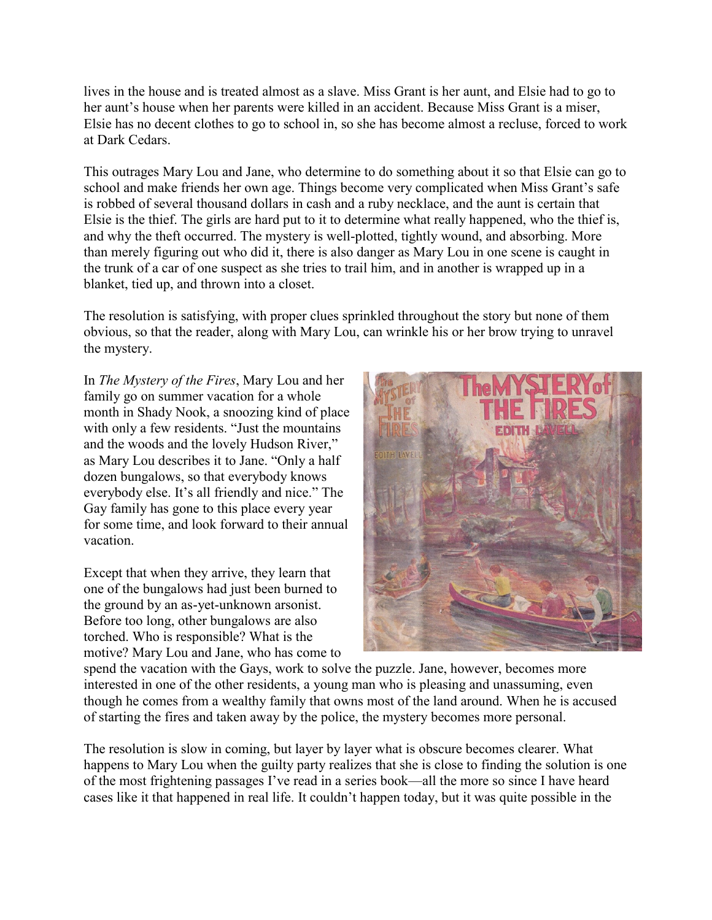lives in the house and is treated almost as a slave. Miss Grant is her aunt, and Elsie had to go to her aunt's house when her parents were killed in an accident. Because Miss Grant is a miser, Elsie has no decent clothes to go to school in, so she has become almost a recluse, forced to work at Dark Cedars.

This outrages Mary Lou and Jane, who determine to do something about it so that Elsie can go to school and make friends her own age. Things become very complicated when Miss Grant's safe is robbed of several thousand dollars in cash and a ruby necklace, and the aunt is certain that Elsie is the thief. The girls are hard put to it to determine what really happened, who the thief is, and why the theft occurred. The mystery is well-plotted, tightly wound, and absorbing. More than merely figuring out who did it, there is also danger as Mary Lou in one scene is caught in the trunk of a car of one suspect as she tries to trail him, and in another is wrapped up in a blanket, tied up, and thrown into a closet.

The resolution is satisfying, with proper clues sprinkled throughout the story but none of them obvious, so that the reader, along with Mary Lou, can wrinkle his or her brow trying to unravel the mystery.

In *The Mystery of the Fires*, Mary Lou and her family go on summer vacation for a whole month in Shady Nook, a snoozing kind of place with only a few residents. "Just the mountains and the woods and the lovely Hudson River," as Mary Lou describes it to Jane. "Only a half dozen bungalows, so that everybody knows everybody else. It's all friendly and nice." The Gay family has gone to this place every year for some time, and look forward to their annual vacation.

Except that when they arrive, they learn that one of the bungalows had just been burned to the ground by an as-yet-unknown arsonist. Before too long, other bungalows are also torched. Who is responsible? What is the motive? Mary Lou and Jane, who has come to



spend the vacation with the Gays, work to solve the puzzle. Jane, however, becomes more interested in one of the other residents, a young man who is pleasing and unassuming, even though he comes from a wealthy family that owns most of the land around. When he is accused of starting the fires and taken away by the police, the mystery becomes more personal.

The resolution is slow in coming, but layer by layer what is obscure becomes clearer. What happens to Mary Lou when the guilty party realizes that she is close to finding the solution is one of the most frightening passages I've read in a series book—all the more so since I have heard cases like it that happened in real life. It couldn't happen today, but it was quite possible in the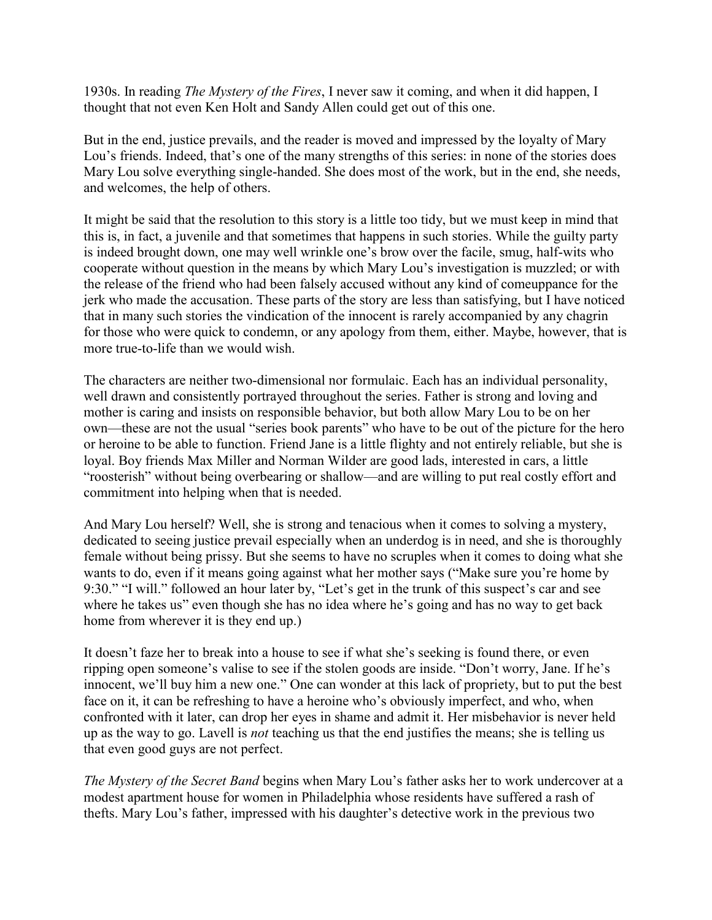1930s. In reading *The Mystery of the Fires*, I never saw it coming, and when it did happen, I thought that not even Ken Holt and Sandy Allen could get out of this one.

But in the end, justice prevails, and the reader is moved and impressed by the loyalty of Mary Lou's friends. Indeed, that's one of the many strengths of this series: in none of the stories does Mary Lou solve everything single-handed. She does most of the work, but in the end, she needs, and welcomes, the help of others.

It might be said that the resolution to this story is a little too tidy, but we must keep in mind that this is, in fact, a juvenile and that sometimes that happens in such stories. While the guilty party is indeed brought down, one may well wrinkle one's brow over the facile, smug, half-wits who cooperate without question in the means by which Mary Lou's investigation is muzzled; or with the release of the friend who had been falsely accused without any kind of comeuppance for the jerk who made the accusation. These parts of the story are less than satisfying, but I have noticed that in many such stories the vindication of the innocent is rarely accompanied by any chagrin for those who were quick to condemn, or any apology from them, either. Maybe, however, that is more true-to-life than we would wish.

The characters are neither two-dimensional nor formulaic. Each has an individual personality, well drawn and consistently portrayed throughout the series. Father is strong and loving and mother is caring and insists on responsible behavior, but both allow Mary Lou to be on her own—these are not the usual "series book parents" who have to be out of the picture for the hero or heroine to be able to function. Friend Jane is a little flighty and not entirely reliable, but she is loyal. Boy friends Max Miller and Norman Wilder are good lads, interested in cars, a little "roosterish" without being overbearing or shallow—and are willing to put real costly effort and commitment into helping when that is needed.

And Mary Lou herself? Well, she is strong and tenacious when it comes to solving a mystery, dedicated to seeing justice prevail especially when an underdog is in need, and she is thoroughly female without being prissy. But she seems to have no scruples when it comes to doing what she wants to do, even if it means going against what her mother says ("Make sure you're home by 9:30." "I will." followed an hour later by, "Let's get in the trunk of this suspect's car and see where he takes us" even though she has no idea where he's going and has no way to get back home from wherever it is they end up.)

It doesn't faze her to break into a house to see if what she's seeking is found there, or even ripping open someone's valise to see if the stolen goods are inside. "Don't worry, Jane. If he's innocent, we'll buy him a new one." One can wonder at this lack of propriety, but to put the best face on it, it can be refreshing to have a heroine who's obviously imperfect, and who, when confronted with it later, can drop her eyes in shame and admit it. Her misbehavior is never held up as the way to go. Lavell is *not* teaching us that the end justifies the means; she is telling us that even good guys are not perfect.

*The Mystery of the Secret Band* begins when Mary Lou's father asks her to work undercover at a modest apartment house for women in Philadelphia whose residents have suffered a rash of thefts. Mary Lou's father, impressed with his daughter's detective work in the previous two